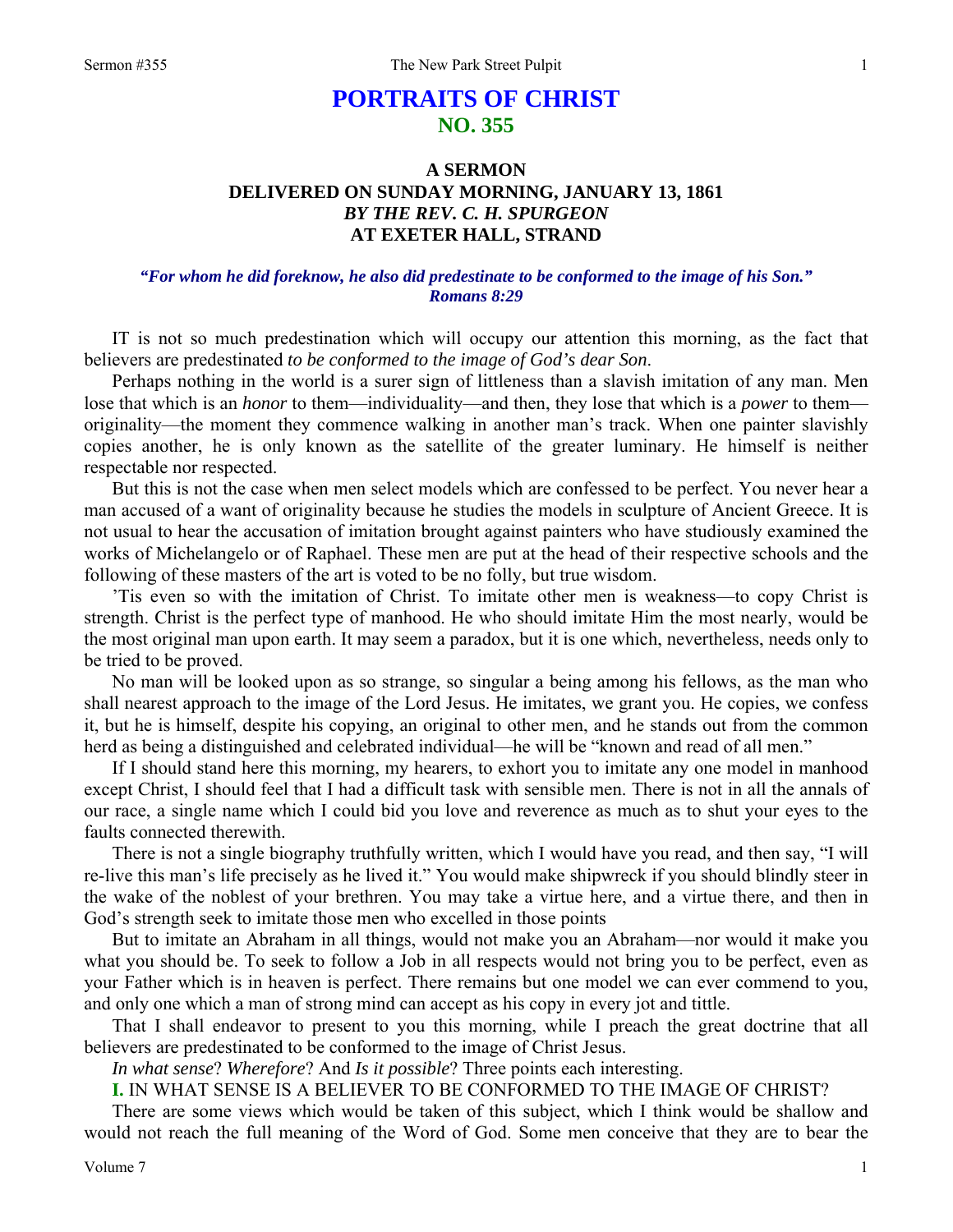# **PORTRAITS OF CHRIST NO. 355**

## **A SERMON DELIVERED ON SUNDAY MORNING, JANUARY 13, 1861**  *BY THE REV. C. H. SPURGEON*  **AT EXETER HALL, STRAND**

### *"For whom he did foreknow, he also did predestinate to be conformed to the image of his Son." Romans 8:29*

IT is not so much predestination which will occupy our attention this morning, as the fact that believers are predestinated *to be conformed to the image of God's dear Son*.

Perhaps nothing in the world is a surer sign of littleness than a slavish imitation of any man. Men lose that which is an *honor* to them—individuality—and then, they lose that which is a *power* to them originality—the moment they commence walking in another man's track. When one painter slavishly copies another, he is only known as the satellite of the greater luminary. He himself is neither respectable nor respected.

But this is not the case when men select models which are confessed to be perfect. You never hear a man accused of a want of originality because he studies the models in sculpture of Ancient Greece. It is not usual to hear the accusation of imitation brought against painters who have studiously examined the works of Michelangelo or of Raphael. These men are put at the head of their respective schools and the following of these masters of the art is voted to be no folly, but true wisdom.

'Tis even so with the imitation of Christ. To imitate other men is weakness—to copy Christ is strength. Christ is the perfect type of manhood. He who should imitate Him the most nearly, would be the most original man upon earth. It may seem a paradox, but it is one which, nevertheless, needs only to be tried to be proved.

No man will be looked upon as so strange, so singular a being among his fellows, as the man who shall nearest approach to the image of the Lord Jesus. He imitates, we grant you. He copies, we confess it, but he is himself, despite his copying, an original to other men, and he stands out from the common herd as being a distinguished and celebrated individual—he will be "known and read of all men."

If I should stand here this morning, my hearers, to exhort you to imitate any one model in manhood except Christ, I should feel that I had a difficult task with sensible men. There is not in all the annals of our race, a single name which I could bid you love and reverence as much as to shut your eyes to the faults connected therewith.

There is not a single biography truthfully written, which I would have you read, and then say, "I will re-live this man's life precisely as he lived it." You would make shipwreck if you should blindly steer in the wake of the noblest of your brethren. You may take a virtue here, and a virtue there, and then in God's strength seek to imitate those men who excelled in those points

But to imitate an Abraham in all things, would not make you an Abraham—nor would it make you what you should be. To seek to follow a Job in all respects would not bring you to be perfect, even as your Father which is in heaven is perfect. There remains but one model we can ever commend to you, and only one which a man of strong mind can accept as his copy in every jot and tittle.

That I shall endeavor to present to you this morning, while I preach the great doctrine that all believers are predestinated to be conformed to the image of Christ Jesus.

*In what sense*? *Wherefore*? And *Is it possible*? Three points each interesting.

**I.** IN WHAT SENSE IS A BELIEVER TO BE CONFORMED TO THE IMAGE OF CHRIST?

There are some views which would be taken of this subject, which I think would be shallow and would not reach the full meaning of the Word of God. Some men conceive that they are to bear the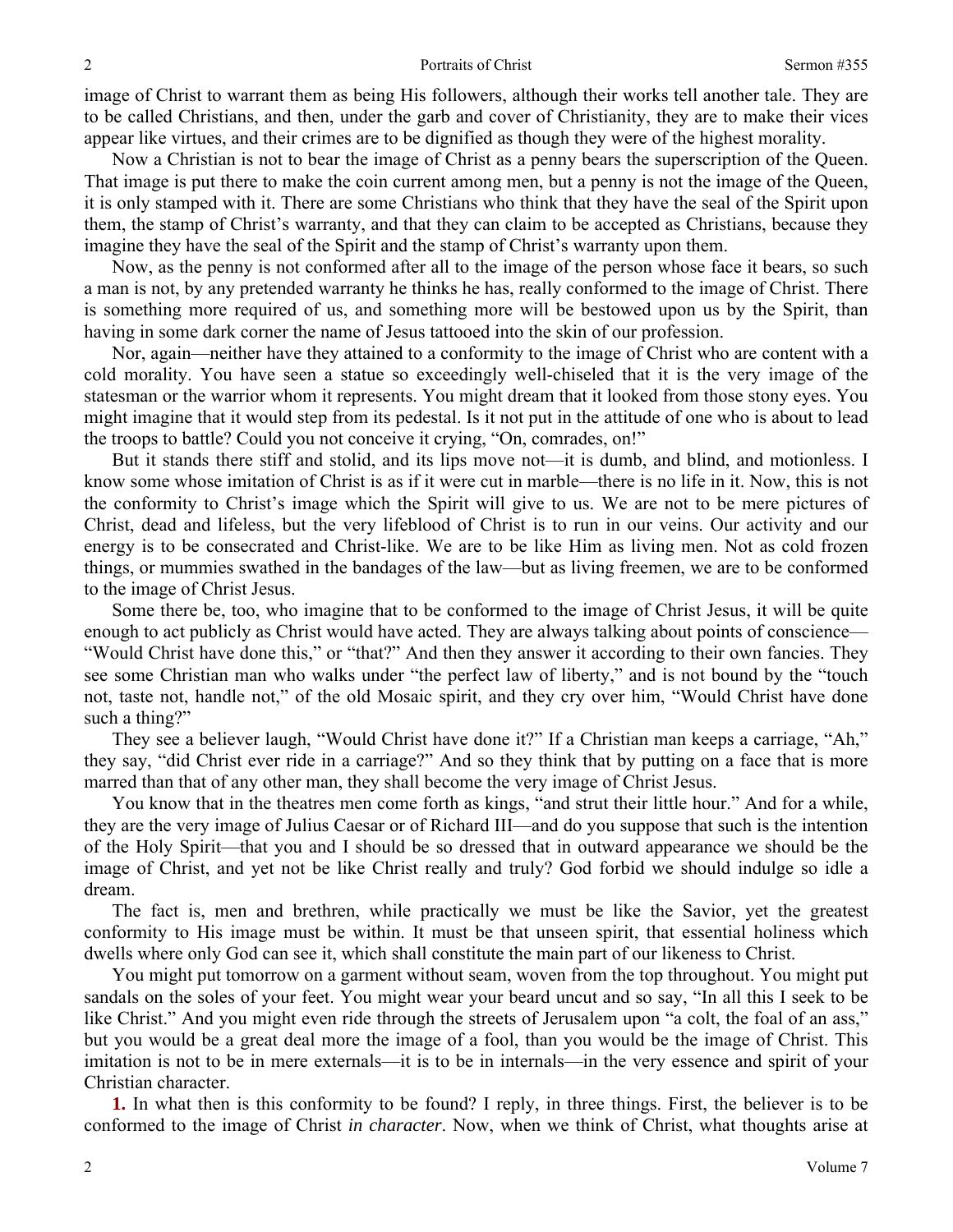image of Christ to warrant them as being His followers, although their works tell another tale. They are to be called Christians, and then, under the garb and cover of Christianity, they are to make their vices appear like virtues, and their crimes are to be dignified as though they were of the highest morality.

Now a Christian is not to bear the image of Christ as a penny bears the superscription of the Queen. That image is put there to make the coin current among men, but a penny is not the image of the Queen, it is only stamped with it. There are some Christians who think that they have the seal of the Spirit upon them, the stamp of Christ's warranty, and that they can claim to be accepted as Christians, because they imagine they have the seal of the Spirit and the stamp of Christ's warranty upon them.

Now, as the penny is not conformed after all to the image of the person whose face it bears, so such a man is not, by any pretended warranty he thinks he has, really conformed to the image of Christ. There is something more required of us, and something more will be bestowed upon us by the Spirit, than having in some dark corner the name of Jesus tattooed into the skin of our profession.

Nor, again—neither have they attained to a conformity to the image of Christ who are content with a cold morality. You have seen a statue so exceedingly well-chiseled that it is the very image of the statesman or the warrior whom it represents. You might dream that it looked from those stony eyes. You might imagine that it would step from its pedestal. Is it not put in the attitude of one who is about to lead the troops to battle? Could you not conceive it crying, "On, comrades, on!"

But it stands there stiff and stolid, and its lips move not—it is dumb, and blind, and motionless. I know some whose imitation of Christ is as if it were cut in marble—there is no life in it. Now, this is not the conformity to Christ's image which the Spirit will give to us. We are not to be mere pictures of Christ, dead and lifeless, but the very lifeblood of Christ is to run in our veins. Our activity and our energy is to be consecrated and Christ-like. We are to be like Him as living men. Not as cold frozen things, or mummies swathed in the bandages of the law—but as living freemen, we are to be conformed to the image of Christ Jesus.

Some there be, too, who imagine that to be conformed to the image of Christ Jesus, it will be quite enough to act publicly as Christ would have acted. They are always talking about points of conscience— "Would Christ have done this," or "that?" And then they answer it according to their own fancies. They see some Christian man who walks under "the perfect law of liberty," and is not bound by the "touch not, taste not, handle not," of the old Mosaic spirit, and they cry over him, "Would Christ have done such a thing?"

They see a believer laugh, "Would Christ have done it?" If a Christian man keeps a carriage, "Ah," they say, "did Christ ever ride in a carriage?" And so they think that by putting on a face that is more marred than that of any other man, they shall become the very image of Christ Jesus.

You know that in the theatres men come forth as kings, "and strut their little hour." And for a while, they are the very image of Julius Caesar or of Richard III—and do you suppose that such is the intention of the Holy Spirit—that you and I should be so dressed that in outward appearance we should be the image of Christ, and yet not be like Christ really and truly? God forbid we should indulge so idle a dream.

The fact is, men and brethren, while practically we must be like the Savior, yet the greatest conformity to His image must be within. It must be that unseen spirit, that essential holiness which dwells where only God can see it, which shall constitute the main part of our likeness to Christ.

You might put tomorrow on a garment without seam, woven from the top throughout. You might put sandals on the soles of your feet. You might wear your beard uncut and so say, "In all this I seek to be like Christ." And you might even ride through the streets of Jerusalem upon "a colt, the foal of an ass," but you would be a great deal more the image of a fool, than you would be the image of Christ. This imitation is not to be in mere externals—it is to be in internals—in the very essence and spirit of your Christian character.

**1.** In what then is this conformity to be found? I reply, in three things. First, the believer is to be conformed to the image of Christ *in character*. Now, when we think of Christ, what thoughts arise at

2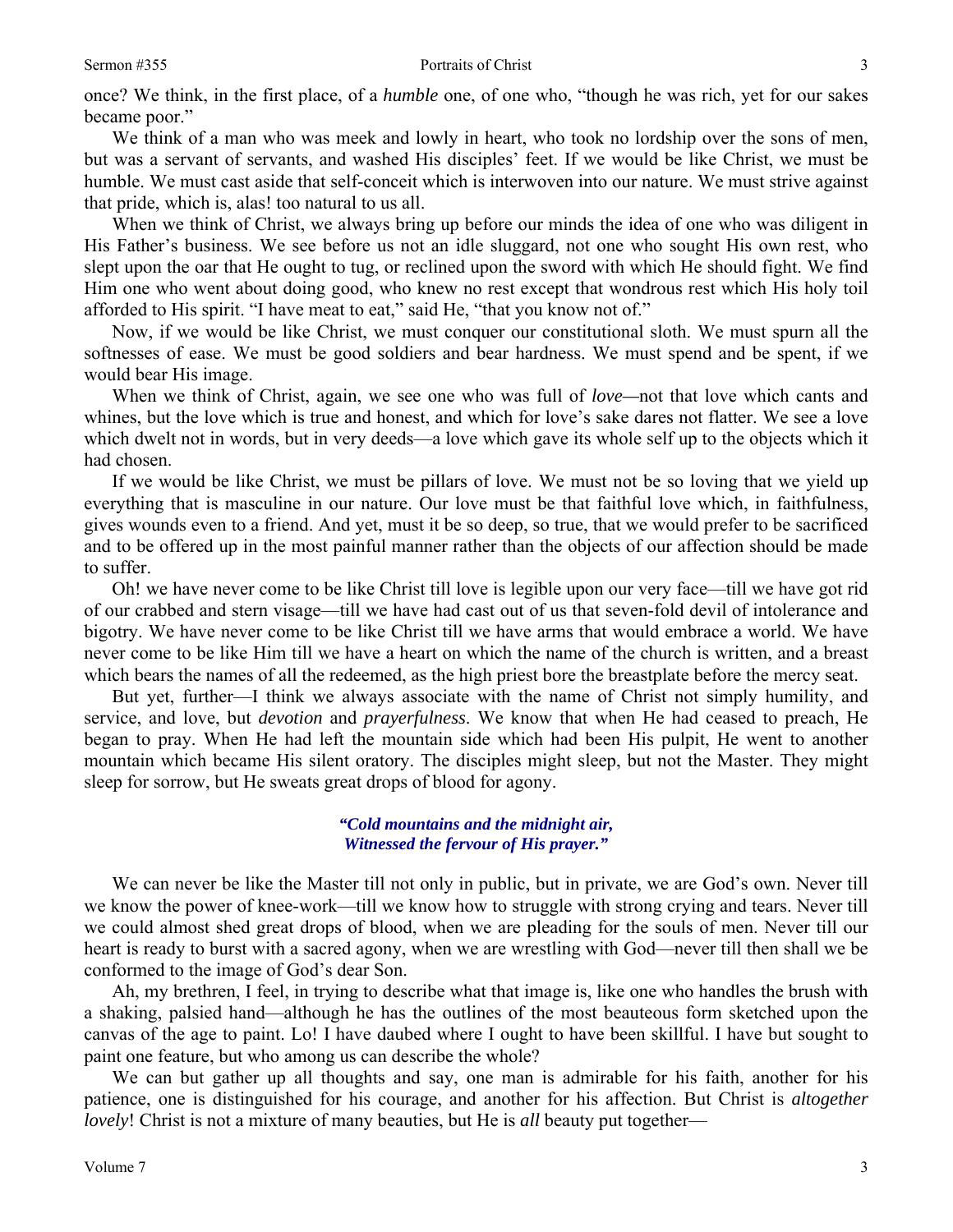once? We think, in the first place, of a *humble* one, of one who, "though he was rich, yet for our sakes became poor."

We think of a man who was meek and lowly in heart, who took no lordship over the sons of men, but was a servant of servants, and washed His disciples' feet. If we would be like Christ, we must be humble. We must cast aside that self-conceit which is interwoven into our nature. We must strive against that pride, which is, alas! too natural to us all.

When we think of Christ, we always bring up before our minds the idea of one who was diligent in His Father's business. We see before us not an idle sluggard, not one who sought His own rest, who slept upon the oar that He ought to tug, or reclined upon the sword with which He should fight. We find Him one who went about doing good, who knew no rest except that wondrous rest which His holy toil afforded to His spirit. "I have meat to eat," said He, "that you know not of."

Now, if we would be like Christ, we must conquer our constitutional sloth. We must spurn all the softnesses of ease. We must be good soldiers and bear hardness. We must spend and be spent, if we would bear His image.

When we think of Christ, again, we see one who was full of *love—*not that love which cants and whines, but the love which is true and honest, and which for love's sake dares not flatter. We see a love which dwelt not in words, but in very deeds—a love which gave its whole self up to the objects which it had chosen.

If we would be like Christ, we must be pillars of love. We must not be so loving that we yield up everything that is masculine in our nature. Our love must be that faithful love which, in faithfulness, gives wounds even to a friend. And yet, must it be so deep, so true, that we would prefer to be sacrificed and to be offered up in the most painful manner rather than the objects of our affection should be made to suffer.

Oh! we have never come to be like Christ till love is legible upon our very face—till we have got rid of our crabbed and stern visage—till we have had cast out of us that seven-fold devil of intolerance and bigotry. We have never come to be like Christ till we have arms that would embrace a world. We have never come to be like Him till we have a heart on which the name of the church is written, and a breast which bears the names of all the redeemed, as the high priest bore the breastplate before the mercy seat.

But yet, further—I think we always associate with the name of Christ not simply humility, and service, and love, but *devotion* and *prayerfulness*. We know that when He had ceased to preach, He began to pray. When He had left the mountain side which had been His pulpit, He went to another mountain which became His silent oratory. The disciples might sleep, but not the Master. They might sleep for sorrow, but He sweats great drops of blood for agony.

#### *"Cold mountains and the midnight air, Witnessed the fervour of His prayer."*

We can never be like the Master till not only in public, but in private, we are God's own. Never till we know the power of knee-work—till we know how to struggle with strong crying and tears. Never till we could almost shed great drops of blood, when we are pleading for the souls of men. Never till our heart is ready to burst with a sacred agony, when we are wrestling with God—never till then shall we be conformed to the image of God's dear Son.

Ah, my brethren, I feel, in trying to describe what that image is, like one who handles the brush with a shaking, palsied hand—although he has the outlines of the most beauteous form sketched upon the canvas of the age to paint. Lo! I have daubed where I ought to have been skillful. I have but sought to paint one feature, but who among us can describe the whole?

We can but gather up all thoughts and say, one man is admirable for his faith, another for his patience, one is distinguished for his courage, and another for his affection. But Christ is *altogether lovely*! Christ is not a mixture of many beauties, but He is *all* beauty put together—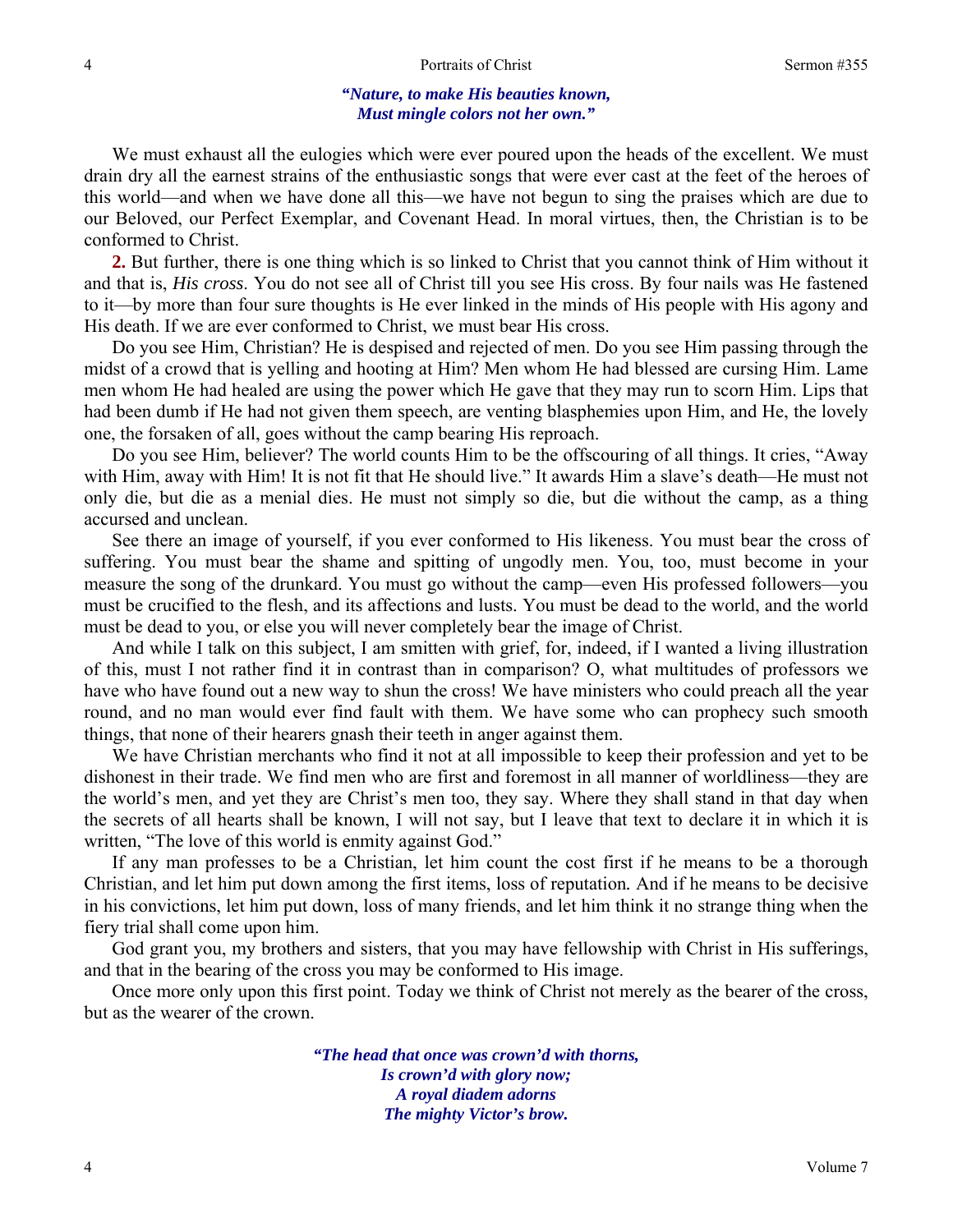#### *"Nature, to make His beauties known, Must mingle colors not her own."*

We must exhaust all the eulogies which were ever poured upon the heads of the excellent. We must drain dry all the earnest strains of the enthusiastic songs that were ever cast at the feet of the heroes of this world—and when we have done all this—we have not begun to sing the praises which are due to our Beloved, our Perfect Exemplar, and Covenant Head. In moral virtues, then, the Christian is to be conformed to Christ.

**2.** But further, there is one thing which is so linked to Christ that you cannot think of Him without it and that is, *His cross*. You do not see all of Christ till you see His cross. By four nails was He fastened to it—by more than four sure thoughts is He ever linked in the minds of His people with His agony and His death. If we are ever conformed to Christ, we must bear His cross.

Do you see Him, Christian? He is despised and rejected of men. Do you see Him passing through the midst of a crowd that is yelling and hooting at Him? Men whom He had blessed are cursing Him. Lame men whom He had healed are using the power which He gave that they may run to scorn Him. Lips that had been dumb if He had not given them speech, are venting blasphemies upon Him, and He, the lovely one, the forsaken of all, goes without the camp bearing His reproach.

Do you see Him, believer? The world counts Him to be the offscouring of all things. It cries, "Away with Him, away with Him! It is not fit that He should live." It awards Him a slave's death—He must not only die, but die as a menial dies. He must not simply so die, but die without the camp, as a thing accursed and unclean.

See there an image of yourself, if you ever conformed to His likeness. You must bear the cross of suffering. You must bear the shame and spitting of ungodly men. You, too, must become in your measure the song of the drunkard. You must go without the camp—even His professed followers—you must be crucified to the flesh, and its affections and lusts. You must be dead to the world, and the world must be dead to you, or else you will never completely bear the image of Christ.

And while I talk on this subject, I am smitten with grief, for, indeed, if I wanted a living illustration of this, must I not rather find it in contrast than in comparison? O, what multitudes of professors we have who have found out a new way to shun the cross! We have ministers who could preach all the year round, and no man would ever find fault with them. We have some who can prophecy such smooth things, that none of their hearers gnash their teeth in anger against them.

We have Christian merchants who find it not at all impossible to keep their profession and yet to be dishonest in their trade. We find men who are first and foremost in all manner of worldliness—they are the world's men, and yet they are Christ's men too, they say. Where they shall stand in that day when the secrets of all hearts shall be known, I will not say, but I leave that text to declare it in which it is written, "The love of this world is enmity against God."

If any man professes to be a Christian, let him count the cost first if he means to be a thorough Christian, and let him put down among the first items, loss of reputation*.* And if he means to be decisive in his convictions, let him put down, loss of many friends, and let him think it no strange thing when the fiery trial shall come upon him.

God grant you, my brothers and sisters, that you may have fellowship with Christ in His sufferings, and that in the bearing of the cross you may be conformed to His image.

Once more only upon this first point. Today we think of Christ not merely as the bearer of the cross, but as the wearer of the crown.

> *"The head that once was crown'd with thorns, Is crown'd with glory now; A royal diadem adorns The mighty Victor's brow.*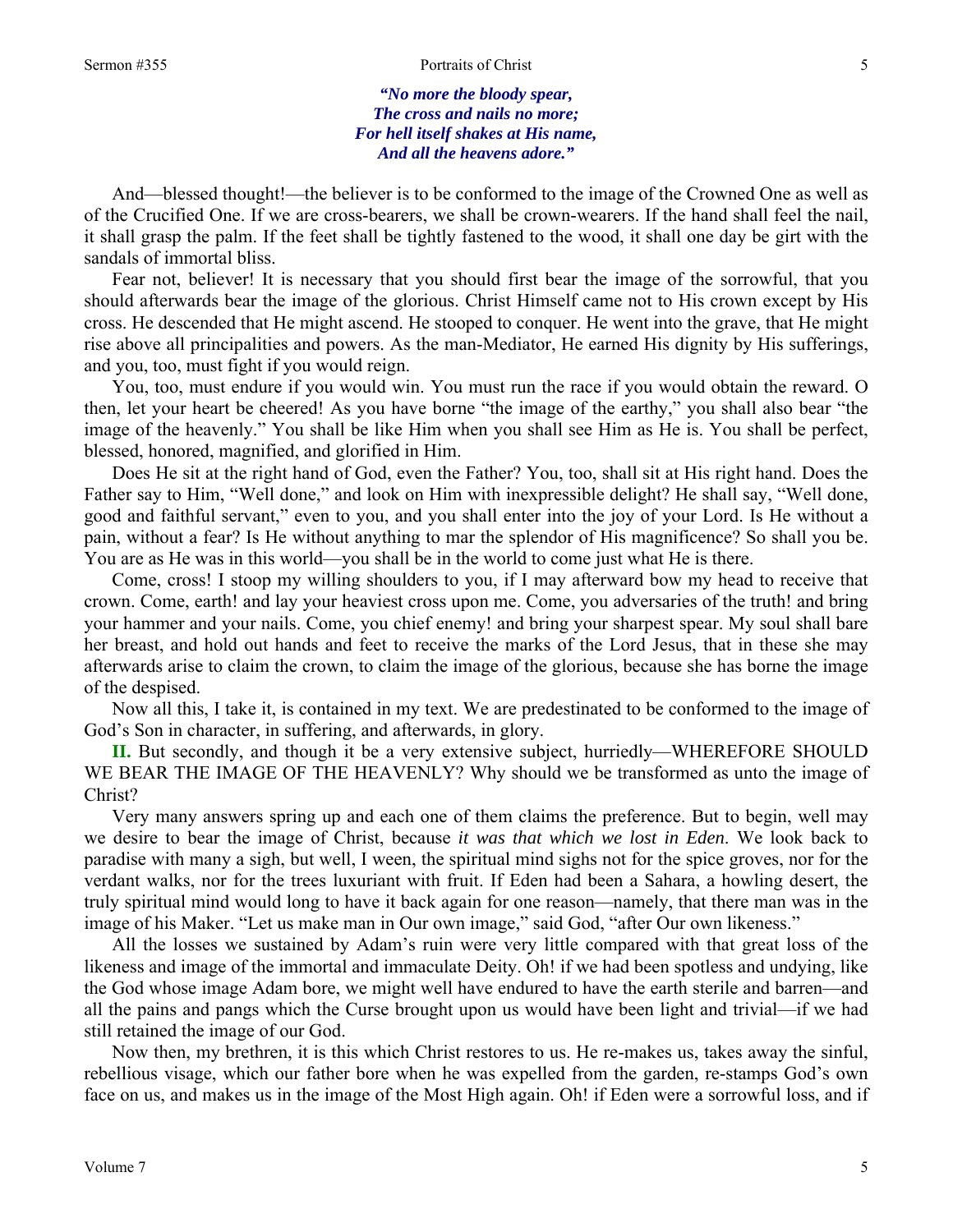#### Sermon #355 Portraits of Christ

*"No more the bloody spear, The cross and nails no more; For hell itself shakes at His name, And all the heavens adore."* 

And—blessed thought!—the believer is to be conformed to the image of the Crowned One as well as of the Crucified One. If we are cross-bearers, we shall be crown-wearers. If the hand shall feel the nail, it shall grasp the palm. If the feet shall be tightly fastened to the wood, it shall one day be girt with the sandals of immortal bliss.

Fear not, believer! It is necessary that you should first bear the image of the sorrowful, that you should afterwards bear the image of the glorious. Christ Himself came not to His crown except by His cross. He descended that He might ascend. He stooped to conquer. He went into the grave, that He might rise above all principalities and powers. As the man-Mediator, He earned His dignity by His sufferings, and you, too, must fight if you would reign.

You, too, must endure if you would win. You must run the race if you would obtain the reward. O then, let your heart be cheered! As you have borne "the image of the earthy," you shall also bear "the image of the heavenly." You shall be like Him when you shall see Him as He is. You shall be perfect, blessed, honored, magnified, and glorified in Him.

Does He sit at the right hand of God, even the Father? You, too, shall sit at His right hand. Does the Father say to Him, "Well done," and look on Him with inexpressible delight? He shall say, "Well done, good and faithful servant," even to you, and you shall enter into the joy of your Lord. Is He without a pain, without a fear? Is He without anything to mar the splendor of His magnificence? So shall you be. You are as He was in this world—you shall be in the world to come just what He is there.

Come, cross! I stoop my willing shoulders to you, if I may afterward bow my head to receive that crown. Come, earth! and lay your heaviest cross upon me. Come, you adversaries of the truth! and bring your hammer and your nails. Come, you chief enemy! and bring your sharpest spear. My soul shall bare her breast, and hold out hands and feet to receive the marks of the Lord Jesus, that in these she may afterwards arise to claim the crown, to claim the image of the glorious, because she has borne the image of the despised.

Now all this, I take it, is contained in my text. We are predestinated to be conformed to the image of God's Son in character, in suffering, and afterwards, in glory.

**II.** But secondly, and though it be a very extensive subject, hurriedly—WHEREFORE SHOULD WE BEAR THE IMAGE OF THE HEAVENLY? Why should we be transformed as unto the image of Christ?

Very many answers spring up and each one of them claims the preference. But to begin, well may we desire to bear the image of Christ, because *it was that which we lost in Eden*. We look back to paradise with many a sigh, but well, I ween, the spiritual mind sighs not for the spice groves, nor for the verdant walks, nor for the trees luxuriant with fruit. If Eden had been a Sahara, a howling desert, the truly spiritual mind would long to have it back again for one reason—namely, that there man was in the image of his Maker. "Let us make man in Our own image," said God, "after Our own likeness."

All the losses we sustained by Adam's ruin were very little compared with that great loss of the likeness and image of the immortal and immaculate Deity. Oh! if we had been spotless and undying, like the God whose image Adam bore, we might well have endured to have the earth sterile and barren—and all the pains and pangs which the Curse brought upon us would have been light and trivial—if we had still retained the image of our God.

Now then, my brethren, it is this which Christ restores to us. He re-makes us, takes away the sinful, rebellious visage, which our father bore when he was expelled from the garden, re-stamps God's own face on us, and makes us in the image of the Most High again. Oh! if Eden were a sorrowful loss, and if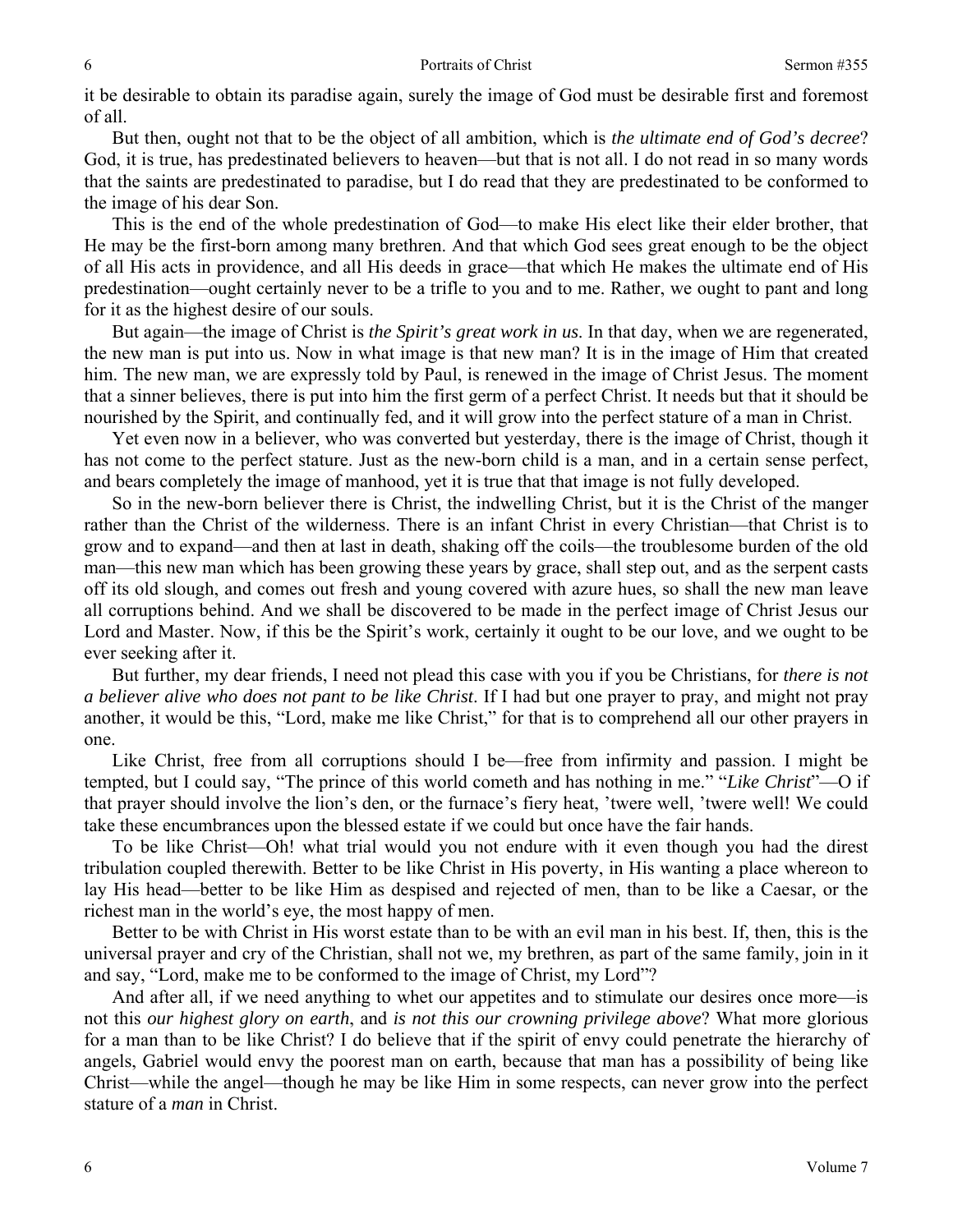it be desirable to obtain its paradise again, surely the image of God must be desirable first and foremost of all.

But then, ought not that to be the object of all ambition, which is *the ultimate end of God's decree*? God, it is true, has predestinated believers to heaven—but that is not all. I do not read in so many words that the saints are predestinated to paradise, but I do read that they are predestinated to be conformed to the image of his dear Son.

This is the end of the whole predestination of God—to make His elect like their elder brother, that He may be the first-born among many brethren. And that which God sees great enough to be the object of all His acts in providence, and all His deeds in grace—that which He makes the ultimate end of His predestination—ought certainly never to be a trifle to you and to me. Rather, we ought to pant and long for it as the highest desire of our souls.

But again—the image of Christ is *the Spirit's great work in us*. In that day, when we are regenerated, the new man is put into us. Now in what image is that new man? It is in the image of Him that created him. The new man, we are expressly told by Paul, is renewed in the image of Christ Jesus. The moment that a sinner believes, there is put into him the first germ of a perfect Christ. It needs but that it should be nourished by the Spirit, and continually fed, and it will grow into the perfect stature of a man in Christ.

Yet even now in a believer, who was converted but yesterday, there is the image of Christ, though it has not come to the perfect stature. Just as the new-born child is a man, and in a certain sense perfect, and bears completely the image of manhood, yet it is true that that image is not fully developed.

So in the new-born believer there is Christ, the indwelling Christ, but it is the Christ of the manger rather than the Christ of the wilderness. There is an infant Christ in every Christian—that Christ is to grow and to expand—and then at last in death, shaking off the coils—the troublesome burden of the old man—this new man which has been growing these years by grace, shall step out, and as the serpent casts off its old slough, and comes out fresh and young covered with azure hues, so shall the new man leave all corruptions behind. And we shall be discovered to be made in the perfect image of Christ Jesus our Lord and Master. Now, if this be the Spirit's work, certainly it ought to be our love, and we ought to be ever seeking after it.

But further, my dear friends, I need not plead this case with you if you be Christians, for *there is not a believer alive who does not pant to be like Christ*. If I had but one prayer to pray, and might not pray another, it would be this, "Lord, make me like Christ," for that is to comprehend all our other prayers in one.

Like Christ, free from all corruptions should I be—free from infirmity and passion. I might be tempted, but I could say, "The prince of this world cometh and has nothing in me." "*Like Christ*"—O if that prayer should involve the lion's den, or the furnace's fiery heat, 'twere well, 'twere well! We could take these encumbrances upon the blessed estate if we could but once have the fair hands.

To be like Christ—Oh! what trial would you not endure with it even though you had the direst tribulation coupled therewith. Better to be like Christ in His poverty, in His wanting a place whereon to lay His head—better to be like Him as despised and rejected of men, than to be like a Caesar, or the richest man in the world's eye, the most happy of men.

Better to be with Christ in His worst estate than to be with an evil man in his best. If, then, this is the universal prayer and cry of the Christian, shall not we, my brethren, as part of the same family, join in it and say, "Lord, make me to be conformed to the image of Christ, my Lord"?

And after all, if we need anything to whet our appetites and to stimulate our desires once more—is not this *our highest glory on earth*, and *is not this our crowning privilege above*? What more glorious for a man than to be like Christ? I do believe that if the spirit of envy could penetrate the hierarchy of angels, Gabriel would envy the poorest man on earth, because that man has a possibility of being like Christ—while the angel—though he may be like Him in some respects, can never grow into the perfect stature of a *man* in Christ.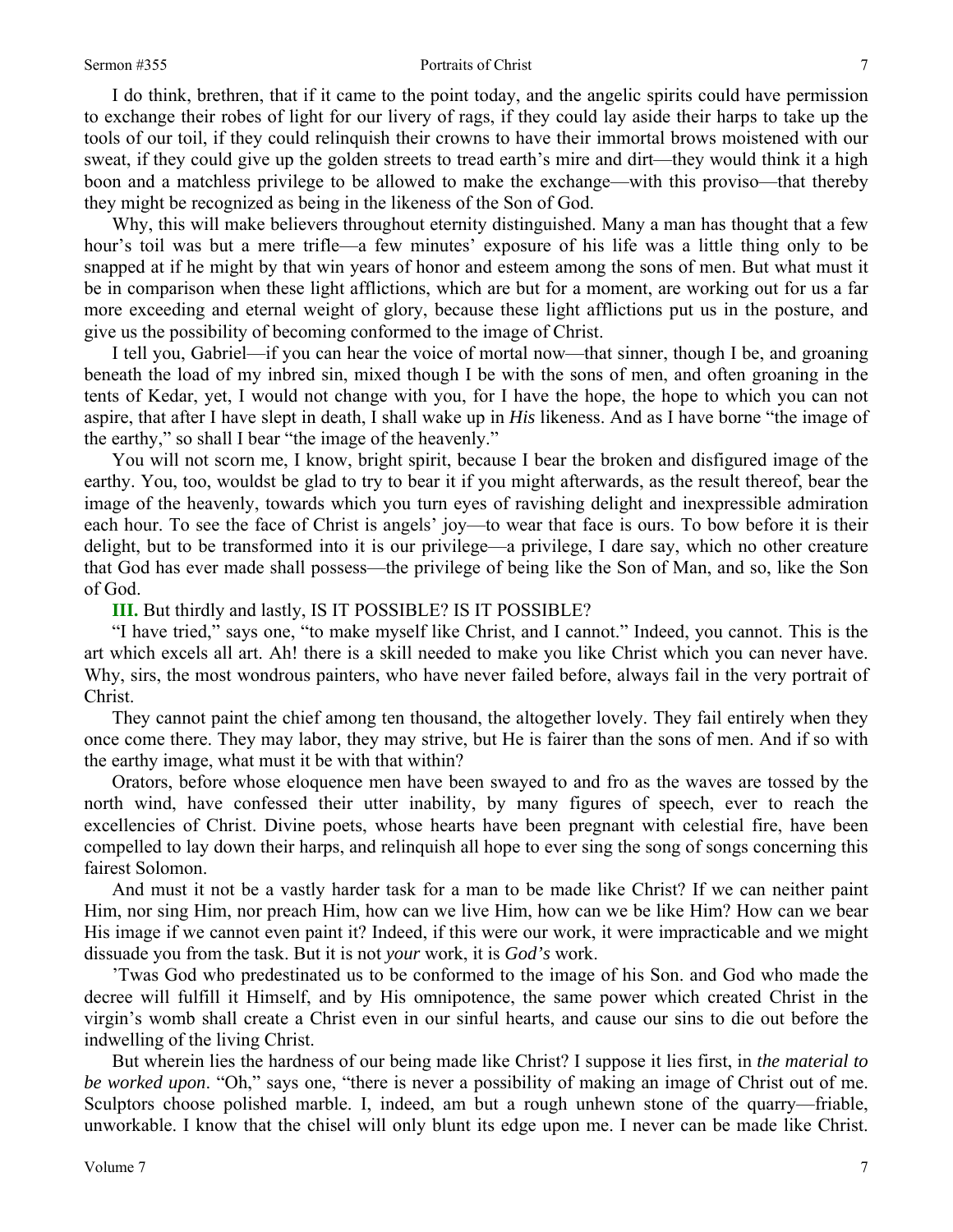#### Sermon #355 Portraits of Christ

I do think, brethren, that if it came to the point today, and the angelic spirits could have permission to exchange their robes of light for our livery of rags, if they could lay aside their harps to take up the tools of our toil, if they could relinquish their crowns to have their immortal brows moistened with our sweat, if they could give up the golden streets to tread earth's mire and dirt—they would think it a high boon and a matchless privilege to be allowed to make the exchange—with this proviso—that thereby they might be recognized as being in the likeness of the Son of God.

Why, this will make believers throughout eternity distinguished. Many a man has thought that a few hour's toil was but a mere trifle—a few minutes' exposure of his life was a little thing only to be snapped at if he might by that win years of honor and esteem among the sons of men. But what must it be in comparison when these light afflictions, which are but for a moment, are working out for us a far more exceeding and eternal weight of glory, because these light afflictions put us in the posture, and give us the possibility of becoming conformed to the image of Christ.

I tell you, Gabriel—if you can hear the voice of mortal now—that sinner, though I be, and groaning beneath the load of my inbred sin, mixed though I be with the sons of men, and often groaning in the tents of Kedar, yet, I would not change with you, for I have the hope, the hope to which you can not aspire, that after I have slept in death, I shall wake up in *His* likeness. And as I have borne "the image of the earthy," so shall I bear "the image of the heavenly."

You will not scorn me, I know, bright spirit, because I bear the broken and disfigured image of the earthy. You, too, wouldst be glad to try to bear it if you might afterwards, as the result thereof, bear the image of the heavenly, towards which you turn eyes of ravishing delight and inexpressible admiration each hour. To see the face of Christ is angels' joy—to wear that face is ours. To bow before it is their delight, but to be transformed into it is our privilege—a privilege, I dare say, which no other creature that God has ever made shall possess—the privilege of being like the Son of Man, and so, like the Son of God.

#### **III.** But thirdly and lastly, IS IT POSSIBLE? IS IT POSSIBLE?

"I have tried," says one, "to make myself like Christ, and I cannot." Indeed, you cannot. This is the art which excels all art. Ah! there is a skill needed to make you like Christ which you can never have. Why, sirs, the most wondrous painters, who have never failed before, always fail in the very portrait of Christ.

They cannot paint the chief among ten thousand, the altogether lovely. They fail entirely when they once come there. They may labor, they may strive, but He is fairer than the sons of men. And if so with the earthy image, what must it be with that within?

Orators, before whose eloquence men have been swayed to and fro as the waves are tossed by the north wind, have confessed their utter inability, by many figures of speech, ever to reach the excellencies of Christ. Divine poets, whose hearts have been pregnant with celestial fire, have been compelled to lay down their harps, and relinquish all hope to ever sing the song of songs concerning this fairest Solomon.

And must it not be a vastly harder task for a man to be made like Christ? If we can neither paint Him, nor sing Him, nor preach Him, how can we live Him, how can we be like Him? How can we bear His image if we cannot even paint it? Indeed, if this were our work, it were impracticable and we might dissuade you from the task. But it is not *your* work, it is *God's* work.

'Twas God who predestinated us to be conformed to the image of his Son. and God who made the decree will fulfill it Himself, and by His omnipotence, the same power which created Christ in the virgin's womb shall create a Christ even in our sinful hearts, and cause our sins to die out before the indwelling of the living Christ.

But wherein lies the hardness of our being made like Christ? I suppose it lies first, in *the material to be worked upon*. "Oh," says one, "there is never a possibility of making an image of Christ out of me. Sculptors choose polished marble. I, indeed, am but a rough unhewn stone of the quarry—friable, unworkable. I know that the chisel will only blunt its edge upon me. I never can be made like Christ.

7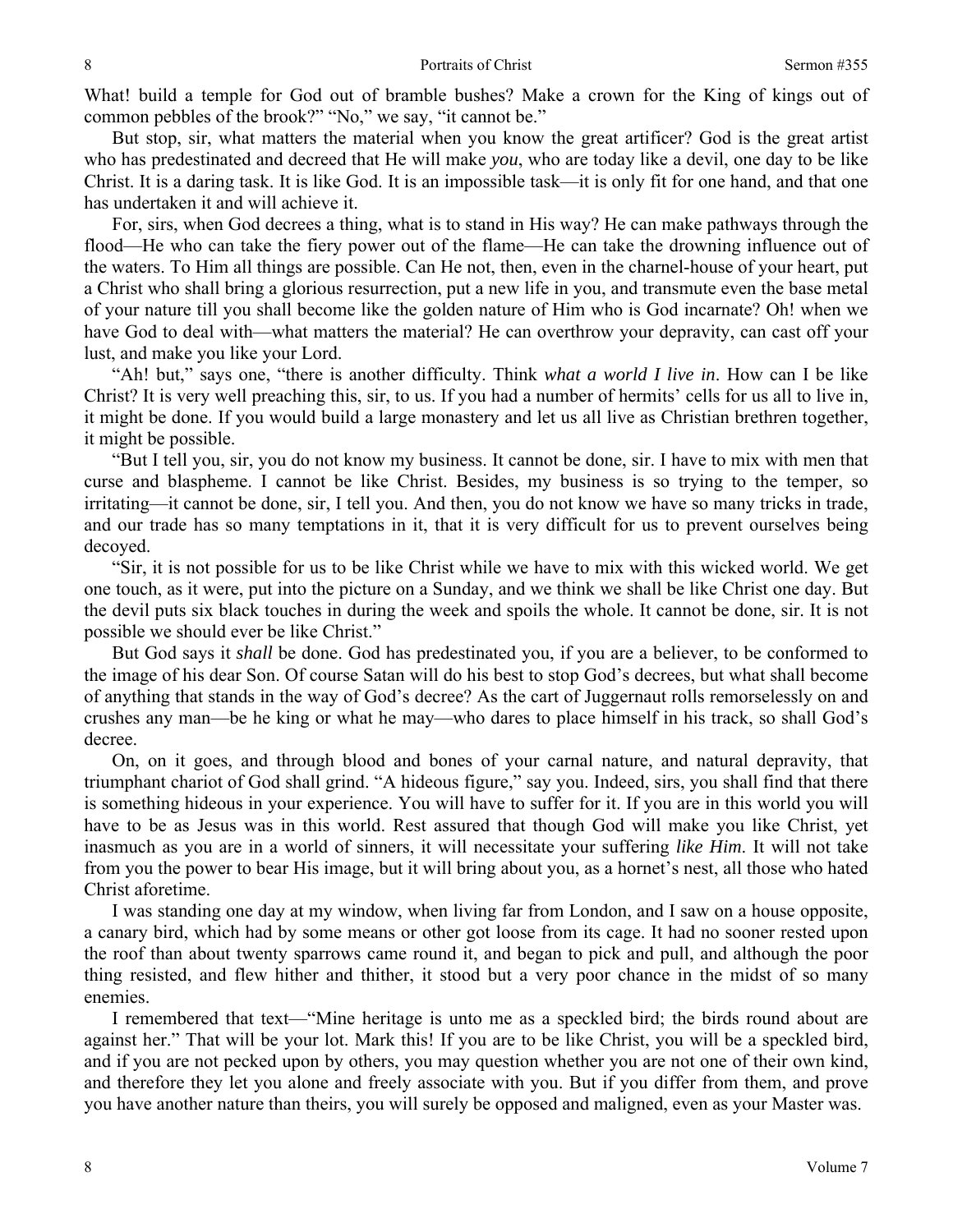What! build a temple for God out of bramble bushes? Make a crown for the King of kings out of common pebbles of the brook?" "No," we say, "it cannot be."

But stop, sir, what matters the material when you know the great artificer? God is the great artist who has predestinated and decreed that He will make *you*, who are today like a devil, one day to be like Christ. It is a daring task. It is like God. It is an impossible task—it is only fit for one hand, and that one has undertaken it and will achieve it.

For, sirs, when God decrees a thing, what is to stand in His way? He can make pathways through the flood—He who can take the fiery power out of the flame—He can take the drowning influence out of the waters. To Him all things are possible. Can He not, then, even in the charnel-house of your heart, put a Christ who shall bring a glorious resurrection, put a new life in you, and transmute even the base metal of your nature till you shall become like the golden nature of Him who is God incarnate? Oh! when we have God to deal with—what matters the material? He can overthrow your depravity, can cast off your lust, and make you like your Lord.

"Ah! but," says one, "there is another difficulty. Think *what a world I live in*. How can I be like Christ? It is very well preaching this, sir, to us. If you had a number of hermits' cells for us all to live in, it might be done. If you would build a large monastery and let us all live as Christian brethren together, it might be possible.

"But I tell you, sir, you do not know my business. It cannot be done, sir. I have to mix with men that curse and blaspheme. I cannot be like Christ. Besides, my business is so trying to the temper, so irritating—it cannot be done, sir, I tell you. And then, you do not know we have so many tricks in trade, and our trade has so many temptations in it, that it is very difficult for us to prevent ourselves being decoyed.

"Sir, it is not possible for us to be like Christ while we have to mix with this wicked world. We get one touch, as it were, put into the picture on a Sunday, and we think we shall be like Christ one day. But the devil puts six black touches in during the week and spoils the whole. It cannot be done, sir. It is not possible we should ever be like Christ."

But God says it *shall* be done. God has predestinated you, if you are a believer, to be conformed to the image of his dear Son. Of course Satan will do his best to stop God's decrees, but what shall become of anything that stands in the way of God's decree? As the cart of Juggernaut rolls remorselessly on and crushes any man—be he king or what he may—who dares to place himself in his track, so shall God's decree.

On, on it goes, and through blood and bones of your carnal nature, and natural depravity, that triumphant chariot of God shall grind. "A hideous figure," say you. Indeed, sirs, you shall find that there is something hideous in your experience. You will have to suffer for it. If you are in this world you will have to be as Jesus was in this world. Rest assured that though God will make you like Christ, yet inasmuch as you are in a world of sinners, it will necessitate your suffering *like Him*. It will not take from you the power to bear His image, but it will bring about you, as a hornet's nest, all those who hated Christ aforetime.

I was standing one day at my window, when living far from London, and I saw on a house opposite, a canary bird, which had by some means or other got loose from its cage. It had no sooner rested upon the roof than about twenty sparrows came round it, and began to pick and pull, and although the poor thing resisted, and flew hither and thither, it stood but a very poor chance in the midst of so many enemies.

I remembered that text—"Mine heritage is unto me as a speckled bird; the birds round about are against her." That will be your lot. Mark this! If you are to be like Christ, you will be a speckled bird, and if you are not pecked upon by others, you may question whether you are not one of their own kind, and therefore they let you alone and freely associate with you. But if you differ from them, and prove you have another nature than theirs, you will surely be opposed and maligned, even as your Master was.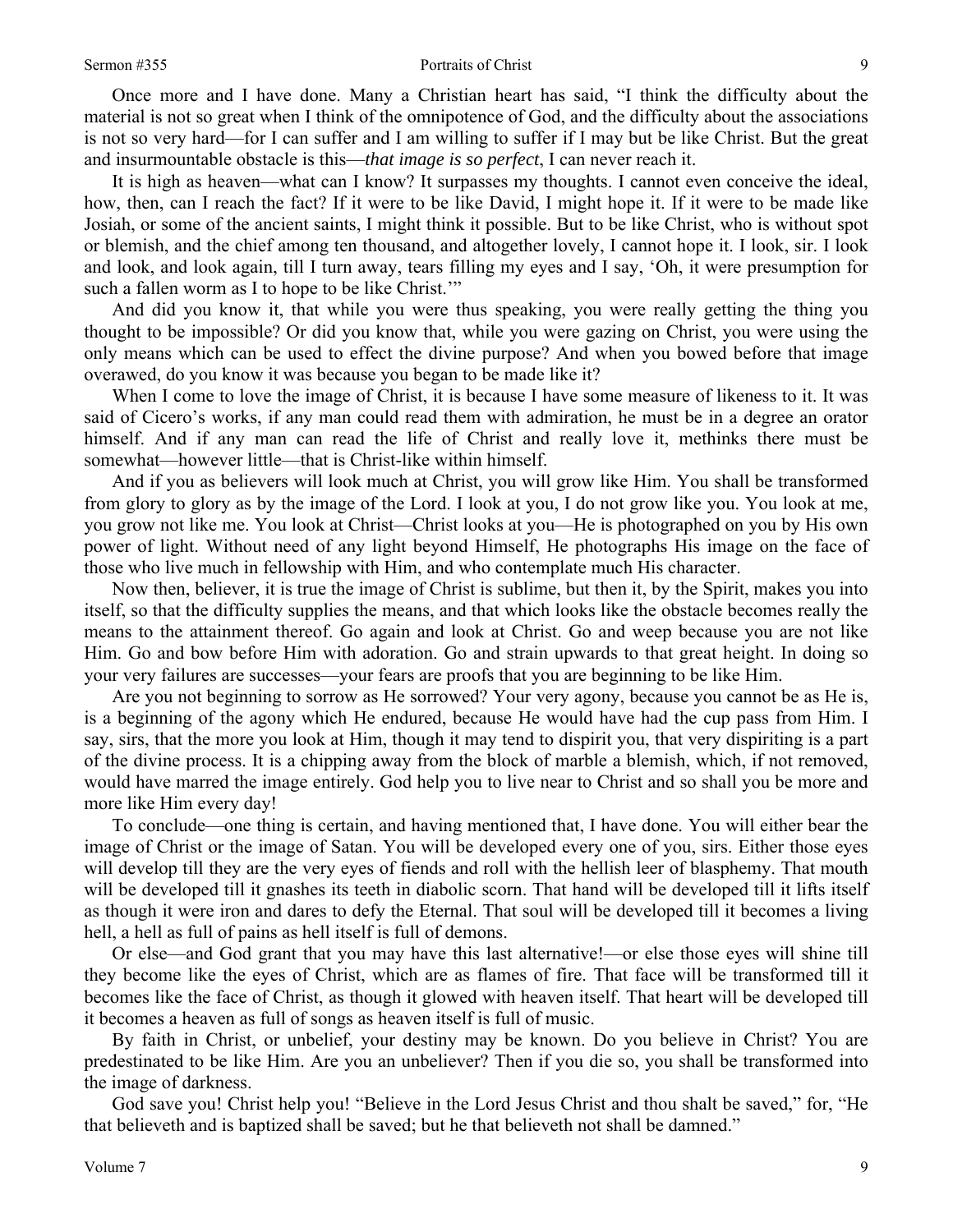Once more and I have done. Many a Christian heart has said, "I think the difficulty about the material is not so great when I think of the omnipotence of God, and the difficulty about the associations is not so very hard—for I can suffer and I am willing to suffer if I may but be like Christ. But the great and insurmountable obstacle is this—*that image is so perfect*, I can never reach it.

It is high as heaven—what can I know? It surpasses my thoughts. I cannot even conceive the ideal, how, then, can I reach the fact? If it were to be like David, I might hope it. If it were to be made like Josiah, or some of the ancient saints, I might think it possible. But to be like Christ, who is without spot or blemish, and the chief among ten thousand, and altogether lovely, I cannot hope it. I look, sir. I look and look, and look again, till I turn away, tears filling my eyes and I say, 'Oh, it were presumption for such a fallen worm as I to hope to be like Christ."

And did you know it, that while you were thus speaking, you were really getting the thing you thought to be impossible? Or did you know that, while you were gazing on Christ, you were using the only means which can be used to effect the divine purpose? And when you bowed before that image overawed, do you know it was because you began to be made like it?

When I come to love the image of Christ, it is because I have some measure of likeness to it. It was said of Cicero's works, if any man could read them with admiration, he must be in a degree an orator himself. And if any man can read the life of Christ and really love it, methinks there must be somewhat—however little—that is Christ-like within himself.

And if you as believers will look much at Christ, you will grow like Him. You shall be transformed from glory to glory as by the image of the Lord. I look at you, I do not grow like you. You look at me, you grow not like me. You look at Christ—Christ looks at you—He is photographed on you by His own power of light. Without need of any light beyond Himself, He photographs His image on the face of those who live much in fellowship with Him, and who contemplate much His character.

Now then, believer, it is true the image of Christ is sublime, but then it, by the Spirit, makes you into itself, so that the difficulty supplies the means, and that which looks like the obstacle becomes really the means to the attainment thereof. Go again and look at Christ. Go and weep because you are not like Him. Go and bow before Him with adoration. Go and strain upwards to that great height. In doing so your very failures are successes—your fears are proofs that you are beginning to be like Him.

Are you not beginning to sorrow as He sorrowed? Your very agony, because you cannot be as He is, is a beginning of the agony which He endured, because He would have had the cup pass from Him. I say, sirs, that the more you look at Him, though it may tend to dispirit you, that very dispiriting is a part of the divine process. It is a chipping away from the block of marble a blemish, which, if not removed, would have marred the image entirely. God help you to live near to Christ and so shall you be more and more like Him every day!

To conclude—one thing is certain, and having mentioned that, I have done. You will either bear the image of Christ or the image of Satan. You will be developed every one of you, sirs. Either those eyes will develop till they are the very eyes of fiends and roll with the hellish leer of blasphemy. That mouth will be developed till it gnashes its teeth in diabolic scorn. That hand will be developed till it lifts itself as though it were iron and dares to defy the Eternal. That soul will be developed till it becomes a living hell, a hell as full of pains as hell itself is full of demons.

Or else—and God grant that you may have this last alternative!—or else those eyes will shine till they become like the eyes of Christ, which are as flames of fire. That face will be transformed till it becomes like the face of Christ, as though it glowed with heaven itself. That heart will be developed till it becomes a heaven as full of songs as heaven itself is full of music.

By faith in Christ, or unbelief, your destiny may be known. Do you believe in Christ? You are predestinated to be like Him. Are you an unbeliever? Then if you die so, you shall be transformed into the image of darkness.

God save you! Christ help you! "Believe in the Lord Jesus Christ and thou shalt be saved," for, "He that believeth and is baptized shall be saved; but he that believeth not shall be damned."